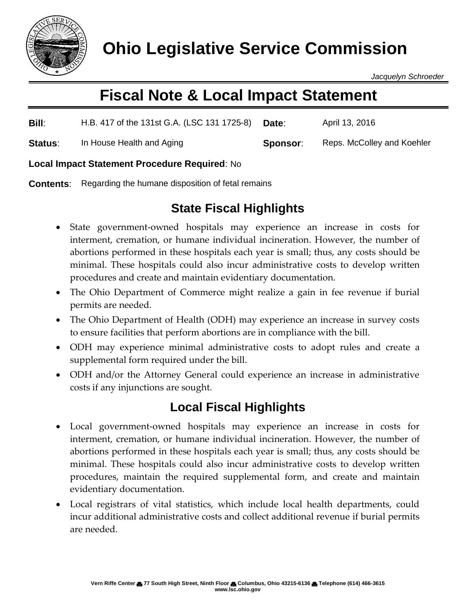

*Jacquelyn Schroeder*

# **Fiscal Note & Local Impact Statement**

| Bill:          | H.B. 417 of the 131st G.A. (LSC 131 1725-8) | Date:    | April 13, 2016             |
|----------------|---------------------------------------------|----------|----------------------------|
| <b>Status:</b> | In House Health and Aging                   | Sponsor: | Reps. McColley and Koehler |

#### **Local Impact Statement Procedure Required**: No

**Contents:** Regarding the humane disposition of fetal remains

# **State Fiscal Highlights**

- State government-owned hospitals may experience an increase in costs for interment, cremation, or humane individual incineration. However, the number of abortions performed in these hospitals each year is small; thus, any costs should be minimal. These hospitals could also incur administrative costs to develop written procedures and create and maintain evidentiary documentation.
- The Ohio Department of Commerce might realize a gain in fee revenue if burial permits are needed.
- The Ohio Department of Health (ODH) may experience an increase in survey costs to ensure facilities that perform abortions are in compliance with the bill.
- ODH may experience minimal administrative costs to adopt rules and create a supplemental form required under the bill.
- ODH and/or the Attorney General could experience an increase in administrative costs if any injunctions are sought.

## **Local Fiscal Highlights**

- Local government-owned hospitals may experience an increase in costs for interment, cremation, or humane individual incineration. However, the number of abortions performed in these hospitals each year is small; thus, any costs should be minimal. These hospitals could also incur administrative costs to develop written procedures, maintain the required supplemental form, and create and maintain evidentiary documentation.
- Local registrars of vital statistics, which include local health departments, could incur additional administrative costs and collect additional revenue if burial permits are needed.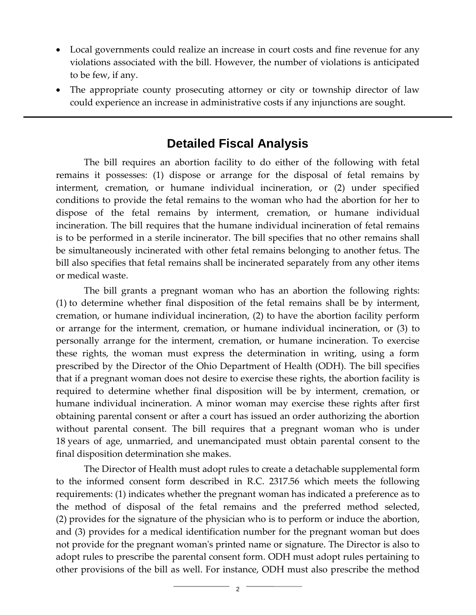- Local governments could realize an increase in court costs and fine revenue for any violations associated with the bill. However, the number of violations is anticipated to be few, if any.
- The appropriate county prosecuting attorney or city or township director of law could experience an increase in administrative costs if any injunctions are sought.

### **Detailed Fiscal Analysis**

The bill requires an abortion facility to do either of the following with fetal remains it possesses: (1) dispose or arrange for the disposal of fetal remains by interment, cremation, or humane individual incineration, or (2) under specified conditions to provide the fetal remains to the woman who had the abortion for her to dispose of the fetal remains by interment, cremation, or humane individual incineration. The bill requires that the humane individual incineration of fetal remains is to be performed in a sterile incinerator. The bill specifies that no other remains shall be simultaneously incinerated with other fetal remains belonging to another fetus. The bill also specifies that fetal remains shall be incinerated separately from any other items or medical waste.

The bill grants a pregnant woman who has an abortion the following rights: (1) to determine whether final disposition of the fetal remains shall be by interment, cremation, or humane individual incineration, (2) to have the abortion facility perform or arrange for the interment, cremation, or humane individual incineration, or (3) to personally arrange for the interment, cremation, or humane incineration. To exercise these rights, the woman must express the determination in writing, using a form prescribed by the Director of the Ohio Department of Health (ODH). The bill specifies that if a pregnant woman does not desire to exercise these rights, the abortion facility is required to determine whether final disposition will be by interment, cremation, or humane individual incineration. A minor woman may exercise these rights after first obtaining parental consent or after a court has issued an order authorizing the abortion without parental consent. The bill requires that a pregnant woman who is under 18 years of age, unmarried, and unemancipated must obtain parental consent to the final disposition determination she makes.

The Director of Health must adopt rules to create a detachable supplemental form to the informed consent form described in R.C. 2317.56 which meets the following requirements: (1) indicates whether the pregnant woman has indicated a preference as to the method of disposal of the fetal remains and the preferred method selected, (2) provides for the signature of the physician who is to perform or induce the abortion, and (3) provides for a medical identification number for the pregnant woman but does not provide for the pregnant woman's printed name or signature. The Director is also to adopt rules to prescribe the parental consent form. ODH must adopt rules pertaining to other provisions of the bill as well. For instance, ODH must also prescribe the method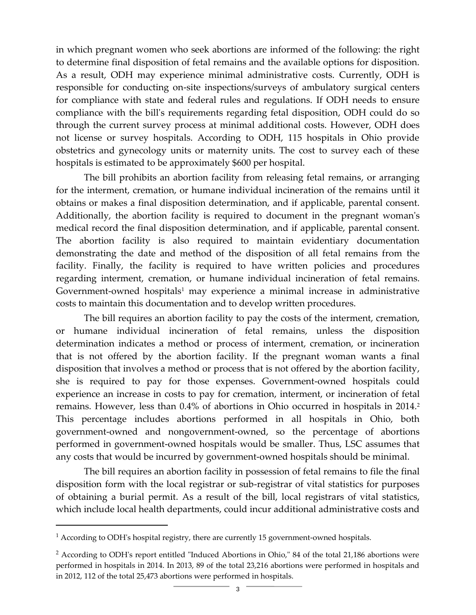in which pregnant women who seek abortions are informed of the following: the right to determine final disposition of fetal remains and the available options for disposition. As a result, ODH may experience minimal administrative costs. Currently, ODH is responsible for conducting on-site inspections/surveys of ambulatory surgical centers for compliance with state and federal rules and regulations. If ODH needs to ensure compliance with the bill's requirements regarding fetal disposition, ODH could do so through the current survey process at minimal additional costs. However, ODH does not license or survey hospitals. According to ODH, 115 hospitals in Ohio provide obstetrics and gynecology units or maternity units. The cost to survey each of these hospitals is estimated to be approximately \$600 per hospital.

The bill prohibits an abortion facility from releasing fetal remains, or arranging for the interment, cremation, or humane individual incineration of the remains until it obtains or makes a final disposition determination, and if applicable, parental consent. Additionally, the abortion facility is required to document in the pregnant woman's medical record the final disposition determination, and if applicable, parental consent. The abortion facility is also required to maintain evidentiary documentation demonstrating the date and method of the disposition of all fetal remains from the facility. Finally, the facility is required to have written policies and procedures regarding interment, cremation, or humane individual incineration of fetal remains. Government-owned hospitals<sup>1</sup> may experience a minimal increase in administrative costs to maintain this documentation and to develop written procedures.

The bill requires an abortion facility to pay the costs of the interment, cremation, or humane individual incineration of fetal remains, unless the disposition determination indicates a method or process of interment, cremation, or incineration that is not offered by the abortion facility. If the pregnant woman wants a final disposition that involves a method or process that is not offered by the abortion facility, she is required to pay for those expenses. Government-owned hospitals could experience an increase in costs to pay for cremation, interment, or incineration of fetal remains. However, less than 0.4% of abortions in Ohio occurred in hospitals in 2014. 2 This percentage includes abortions performed in all hospitals in Ohio, both government-owned and nongovernment-owned, so the percentage of abortions performed in government-owned hospitals would be smaller. Thus, LSC assumes that any costs that would be incurred by government-owned hospitals should be minimal.

The bill requires an abortion facility in possession of fetal remains to file the final disposition form with the local registrar or sub-registrar of vital statistics for purposes of obtaining a burial permit. As a result of the bill, local registrars of vital statistics, which include local health departments, could incur additional administrative costs and

l

<sup>&</sup>lt;sup>1</sup> According to ODH's hospital registry, there are currently 15 government-owned hospitals.

<sup>2</sup> According to ODH's report entitled "Induced Abortions in Ohio," 84 of the total 21,186 abortions were performed in hospitals in 2014. In 2013, 89 of the total 23,216 abortions were performed in hospitals and in 2012, 112 of the total 25,473 abortions were performed in hospitals.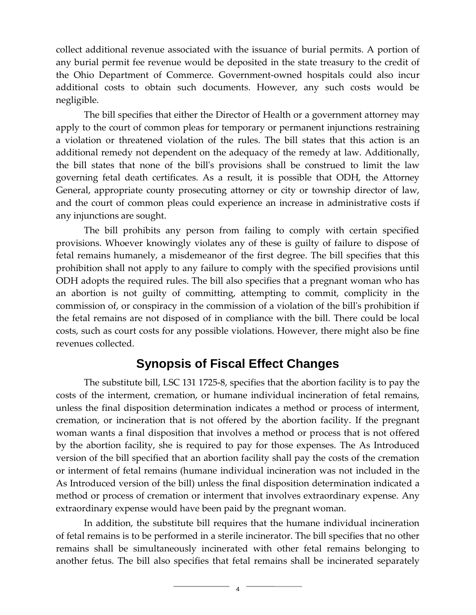collect additional revenue associated with the issuance of burial permits. A portion of any burial permit fee revenue would be deposited in the state treasury to the credit of the Ohio Department of Commerce. Government-owned hospitals could also incur additional costs to obtain such documents. However, any such costs would be negligible.

The bill specifies that either the Director of Health or a government attorney may apply to the court of common pleas for temporary or permanent injunctions restraining a violation or threatened violation of the rules. The bill states that this action is an additional remedy not dependent on the adequacy of the remedy at law. Additionally, the bill states that none of the bill's provisions shall be construed to limit the law governing fetal death certificates. As a result, it is possible that ODH, the Attorney General, appropriate county prosecuting attorney or city or township director of law, and the court of common pleas could experience an increase in administrative costs if any injunctions are sought.

The bill prohibits any person from failing to comply with certain specified provisions. Whoever knowingly violates any of these is guilty of failure to dispose of fetal remains humanely, a misdemeanor of the first degree. The bill specifies that this prohibition shall not apply to any failure to comply with the specified provisions until ODH adopts the required rules. The bill also specifies that a pregnant woman who has an abortion is not guilty of committing, attempting to commit, complicity in the commission of, or conspiracy in the commission of a violation of the bill's prohibition if the fetal remains are not disposed of in compliance with the bill. There could be local costs, such as court costs for any possible violations. However, there might also be fine revenues collected.

#### **Synopsis of Fiscal Effect Changes**

The substitute bill, LSC 131 1725-8, specifies that the abortion facility is to pay the costs of the interment, cremation, or humane individual incineration of fetal remains, unless the final disposition determination indicates a method or process of interment, cremation, or incineration that is not offered by the abortion facility. If the pregnant woman wants a final disposition that involves a method or process that is not offered by the abortion facility, she is required to pay for those expenses. The As Introduced version of the bill specified that an abortion facility shall pay the costs of the cremation or interment of fetal remains (humane individual incineration was not included in the As Introduced version of the bill) unless the final disposition determination indicated a method or process of cremation or interment that involves extraordinary expense. Any extraordinary expense would have been paid by the pregnant woman.

In addition, the substitute bill requires that the humane individual incineration of fetal remains is to be performed in a sterile incinerator. The bill specifies that no other remains shall be simultaneously incinerated with other fetal remains belonging to another fetus. The bill also specifies that fetal remains shall be incinerated separately